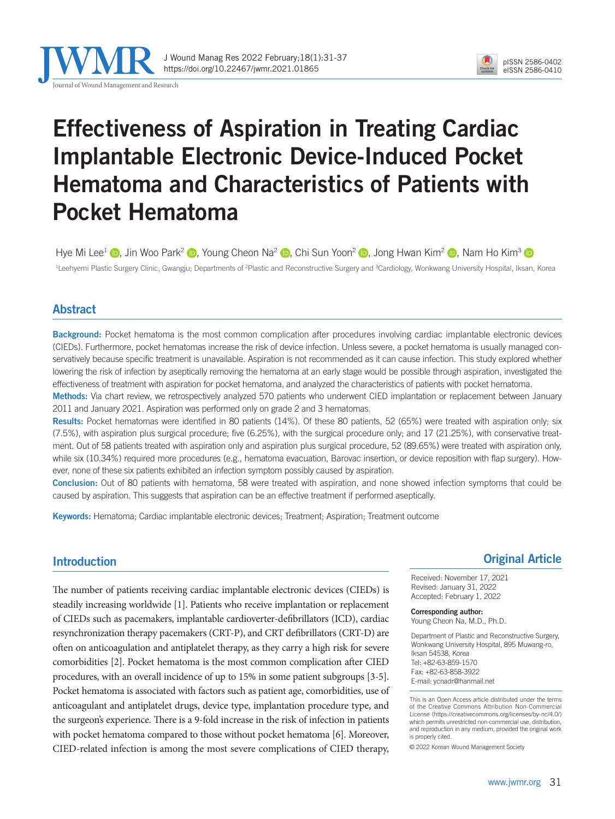



### Effectiveness of Aspiration in Treating Cardiac Implantable Electronic Device-Induced Pocket Hematoma and Characteristics of Patients with Pocket Hematoma

Hye Mi Lee<sup>1</sup> **.**[,](https://orcid.org/0000-0003-4355-2692) Jin Woo Park<sup>2</sup> **.**, Young Cheon Na<sup>2</sup> **.**, Chi Sun Yoon<sup>2</sup> **.**, Jong Hwan Kim<sup>2</sup> **.**, Nam Ho Kim<sup>3</sup> **.** <sup>1</sup>Leehyemi Plastic Surgery Clinic, Gwangju; Departments of <sup>2</sup>Plastic and Reconstructive Surgery and <sup>3</sup>Cardiology, Wonkwang University Hospital, Iksan, Korea

#### Abstract

Background: Pocket hematoma is the most common complication after procedures involving cardiac implantable electronic devices (CIEDs). Furthermore, pocket hematomas increase the risk of device infection. Unless severe, a pocket hematoma is usually managed conservatively because specific treatment is unavailable. Aspiration is not recommended as it can cause infection. This study explored whether lowering the risk of infection by aseptically removing the hematoma at an early stage would be possible through aspiration, investigated the effectiveness of treatment with aspiration for pocket hematoma, and analyzed the characteristics of patients with pocket hematoma.

Methods: Via chart review, we retrospectively analyzed 570 patients who underwent CIED implantation or replacement between January 2011 and January 2021. Aspiration was performed only on grade 2 and 3 hematomas.

Results: Pocket hematomas were identified in 80 patients (14%). Of these 80 patients, 52 (65%) were treated with aspiration only; six (7.5%), with aspiration plus surgical procedure; five (6.25%), with the surgical procedure only; and 17 (21.25%), with conservative treatment. Out of 58 patients treated with aspiration only and aspiration plus surgical procedure, 52 (89.65%) were treated with aspiration only, while six (10.34%) required more procedures (e.g., hematoma evacuation, Barovac insertion, or device reposition with flap surgery). However, none of these six patients exhibited an infection symptom possibly caused by aspiration.

Conclusion: Out of 80 patients with hematoma, 58 were treated with aspiration, and none showed infection symptoms that could be caused by aspiration. This suggests that aspiration can be an effective treatment if performed aseptically.

Keywords: Hematoma; Cardiac implantable electronic devices; Treatment; Aspiration; Treatment outcome

#### Introduction

The number of patients receiving cardiac implantable electronic devices (CIEDs) is steadily increasing worldwide [1]. Patients who receive implantation or replacement of CIEDs such as pacemakers, implantable cardioverter-defibrillators (ICD), cardiac resynchronization therapy pacemakers (CRT-P), and CRT defibrillators (CRT-D) are often on anticoagulation and antiplatelet therapy, as they carry a high risk for severe comorbidities [2]. Pocket hematoma is the most common complication after CIED procedures, with an overall incidence of up to 15% in some patient subgroups [3-5]. Pocket hematoma is associated with factors such as patient age, comorbidities, use of anticoagulant and antiplatelet drugs, device type, implantation procedure type, and the surgeon's experience. There is a 9-fold increase in the risk of infection in patients with pocket hematoma compared to those without pocket hematoma [6]. Moreover, CIED-related infection is among the most severe complications of CIED therapy,

#### Original Article

Received: November 17, 2021 Revised: January 31, 2022 Accepted: February 1, 2022

Corresponding author: Young Cheon Na, M.D., Ph.D.

Department of Plastic and Reconstructive Surgery, Wonkwang University Hospital, 895 Muwang-ro, Iksan 54538, Korea Tel: +82-63-859-1570 Fax: +82-63-858-3922 E-mail: ycnadr@hanmail.net

This is an Open Access article distributed under the terms of the Creative Commons Attribution Non-Commercial License (https://creativecommons.org/licenses/by-nc/4.0/) which permits unrestricted non-commercial use, distribution, and reproduction in any medium, provided the original work is properly cited.

© 2022 Korean Wound Management Society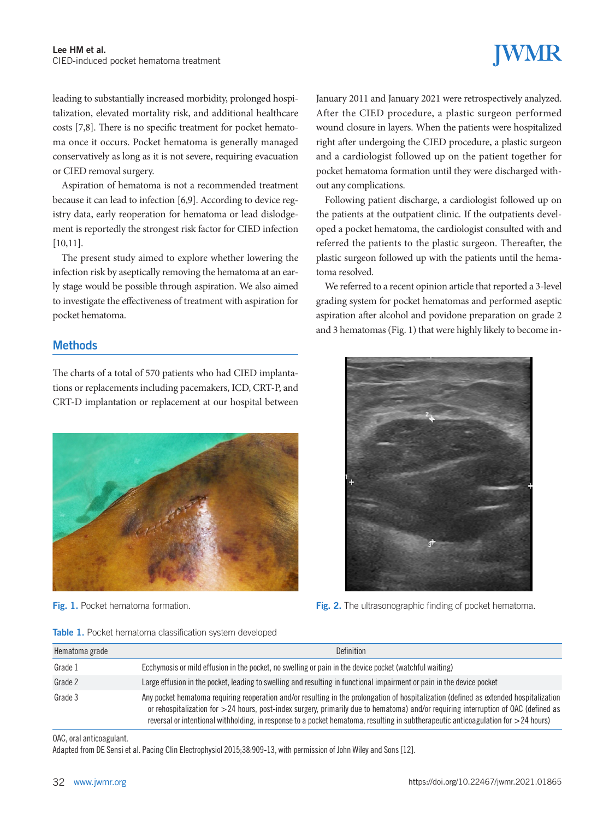leading to substantially increased morbidity, prolonged hospitalization, elevated mortality risk, and additional healthcare costs [7,8]. There is no specific treatment for pocket hematoma once it occurs. Pocket hematoma is generally managed conservatively as long as it is not severe, requiring evacuation or CIED removal surgery.

Aspiration of hematoma is not a recommended treatment because it can lead to infection [6,9]. According to device registry data, early reoperation for hematoma or lead dislodgement is reportedly the strongest risk factor for CIED infection [10,11].

The present study aimed to explore whether lowering the infection risk by aseptically removing the hematoma at an early stage would be possible through aspiration. We also aimed to investigate the effectiveness of treatment with aspiration for pocket hematoma.

#### **Methods**

The charts of a total of 570 patients who had CIED implantations or replacements including pacemakers, ICD, CRT-P, and CRT-D implantation or replacement at our hospital between



|  |  |  | Table 1. Pocket hematoma classification system developed |  |  |
|--|--|--|----------------------------------------------------------|--|--|
|--|--|--|----------------------------------------------------------|--|--|

January 2011 and January 2021 were retrospectively analyzed. After the CIED procedure, a plastic surgeon performed wound closure in layers. When the patients were hospitalized right after undergoing the CIED procedure, a plastic surgeon and a cardiologist followed up on the patient together for pocket hematoma formation until they were discharged without any complications.

Following patient discharge, a cardiologist followed up on the patients at the outpatient clinic. If the outpatients developed a pocket hematoma, the cardiologist consulted with and referred the patients to the plastic surgeon. Thereafter, the plastic surgeon followed up with the patients until the hematoma resolved.

We referred to a recent opinion article that reported a 3-level grading system for pocket hematomas and performed aseptic aspiration after alcohol and povidone preparation on grade 2 and 3 hematomas (Fig. 1) that were highly likely to become in-



**Fig. 1.** Pocket hematoma formation. The same of the set of the ultrasonographic finding of pocket hematoma.

| Hematoma grade | <b>Definition</b>                                                                                                                                                                                                                                                                                                                                                                                                        |
|----------------|--------------------------------------------------------------------------------------------------------------------------------------------------------------------------------------------------------------------------------------------------------------------------------------------------------------------------------------------------------------------------------------------------------------------------|
| Grade 1        | Ecchymosis or mild effusion in the pocket, no swelling or pain in the device pocket (watchful waiting)                                                                                                                                                                                                                                                                                                                   |
| Grade 2        | Large effusion in the pocket, leading to swelling and resulting in functional impairment or pain in the device pocket                                                                                                                                                                                                                                                                                                    |
| Grade 3        | Any pocket hematoma requiring reoperation and/or resulting in the prolongation of hospitalization (defined as extended hospitalization<br>or rehospitalization for $>$ 24 hours, post-index surgery, primarily due to hematoma) and/or requiring interruption of OAC (defined as<br>reversal or intentional withholding, in response to a pocket hematoma, resulting in subtherapeutic anticoagulation for $>$ 24 hours) |

OAC, oral anticoagulant.

Adapted from DE Sensi et al. Pacing Clin Electrophysiol 2015;38:909-13, with permission of John Wiley and Sons [12].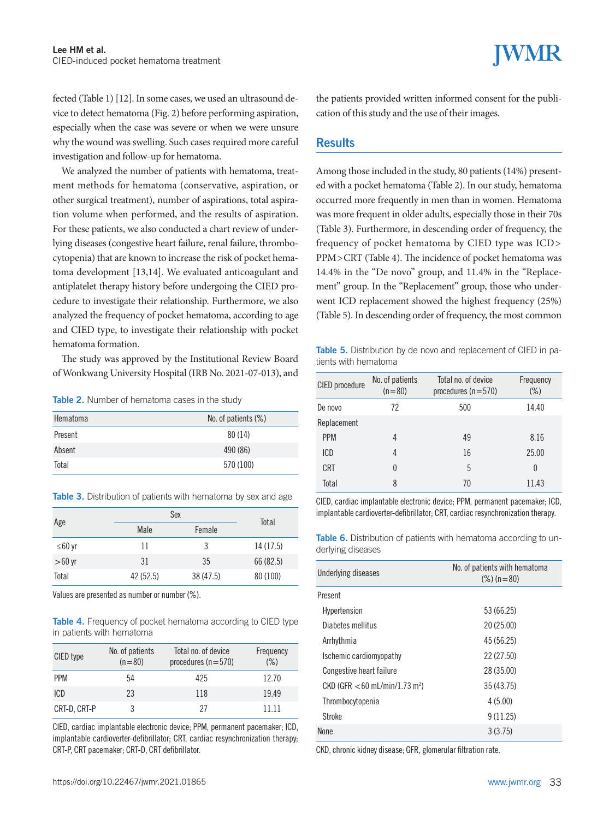fected (Table 1) [12]. In some cases, we used an ultrasound device to detect hematoma (Fig. 2) before performing aspiration, especially when the case was severe or when we were unsure why the wound was swelling. Such cases required more careful investigation and follow-up for hematoma.

We analyzed the number of patients with hematoma, treatment methods for hematoma (conservative, aspiration, or other surgical treatment), number of aspirations, total aspiration volume when performed, and the results of aspiration. For these patients, we also conducted a chart review of underlying diseases (congestive heart failure, renal failure, thrombocytopenia) that are known to increase the risk of pocket hematoma development [13,14]. We evaluated anticoagulant and antiplatelet therapy history before undergoing the CIED procedure to investigate their relationship. Furthermore, we also analyzed the frequency of pocket hematoma, according to age and CIED type, to investigate their relationship with pocket hematoma formation.

The study was approved by the Institutional Review Board of Wonkwang University Hospital (IRB No. 2021-07-013), and

Table 2. Number of hematoma cases in the study

| Hematoma | No. of patients $(\%)$ |  |
|----------|------------------------|--|
| Present  | 80(14)                 |  |
| Absent   | 490 (86)               |  |
| Total    | 570 (100)              |  |

Table 3. Distribution of patients with hematoma by sex and age

|          | Sex       |           | Total     |
|----------|-----------|-----------|-----------|
| Age      | Male      | Female    |           |
| ≤60 yr   | 11        | 3         | 14 (17.5) |
| $>60$ yr | 31        | 35        | 66 (82.5) |
| Total    | 42 (52.5) | 38 (47.5) | 80 (100)  |

Values are presented as number or number (%).

Table 4. Frequency of pocket hematoma according to CIED type in patients with hematoma

| CIED type    | No. of patients<br>$(n=80)$ | Total no. of device<br>procedures $(n=570)$ | Frequency<br>(%) |
|--------------|-----------------------------|---------------------------------------------|------------------|
| <b>PPM</b>   | 54                          | 425                                         | 12.70            |
| ICD          | 23                          | 118                                         | 19.49            |
| CRT-D, CRT-P | 3                           | 27                                          | 11 11            |

CIED, cardiac implantable electronic device; PPM, permanent pacemaker; ICD, implantable cardioverter-defibrillator; CRT, cardiac resynchronization therapy; CRT-P, CRT pacemaker; CRT-D, CRT defibrillator.

the patients provided written informed consent for the publication of this study and the use of their images.

#### Results

Among those included in the study, 80 patients (14%) presented with a pocket hematoma (Table 2). In our study, hematoma occurred more frequently in men than in women. Hematoma was more frequent in older adults, especially those in their 70s (Table 3). Furthermore, in descending order of frequency, the frequency of pocket hematoma by CIED type was ICD> PPM>CRT (Table 4). The incidence of pocket hematoma was 14.4% in the "De novo" group, and 11.4% in the "Replacement" group. In the "Replacement" group, those who underwent ICD replacement showed the highest frequency (25%) (Table 5). In descending order of frequency, the most common

Table 5. Distribution by de novo and replacement of CIED in patients with hematoma

| CIED procedure | No. of patients<br>$(n=80)$ | Total no. of device<br>procedures $(n=570)$ | Frequency<br>$(\%)$ |
|----------------|-----------------------------|---------------------------------------------|---------------------|
| De novo        | 72                          | 500                                         | 14.40               |
| Replacement    |                             |                                             |                     |
| <b>PPM</b>     | 4                           | 49                                          | 8.16                |
| ICD            | 4                           | 16                                          | 25.00               |
| <b>CRT</b>     | 0                           | 5                                           | 0                   |
| Total          | 8                           | 70                                          | 11.43               |

CIED, cardiac implantable electronic device; PPM, permanent pacemaker; ICD, implantable cardioverter-defibrillator; CRT, cardiac resynchronization therapy.

Table 6. Distribution of patients with hematoma according to underlying diseases

| Underlying diseases                            | No. of patients with hematoma<br>$(\%)$ (n = 80) |  |
|------------------------------------------------|--------------------------------------------------|--|
| Present                                        |                                                  |  |
| Hypertension                                   | 53 (66.25)                                       |  |
| Diabetes mellitus                              | 20 (25.00)                                       |  |
| Arrhythmia                                     | 45 (56.25)                                       |  |
| Ischemic cardiomyopathy                        | 22 (27.50)                                       |  |
| Congestive heart failure                       | 28 (35.00)                                       |  |
| $CKD$ (GFR $<$ 60 mL/min/1.73 m <sup>2</sup> ) | 35 (43.75)                                       |  |
| Thrombocytopenia                               | 4(5.00)                                          |  |
| Stroke                                         | 9(11.25)                                         |  |
| <b>None</b>                                    | 3(3.75)                                          |  |

CKD, chronic kidney disease; GFR, glomerular filtration rate.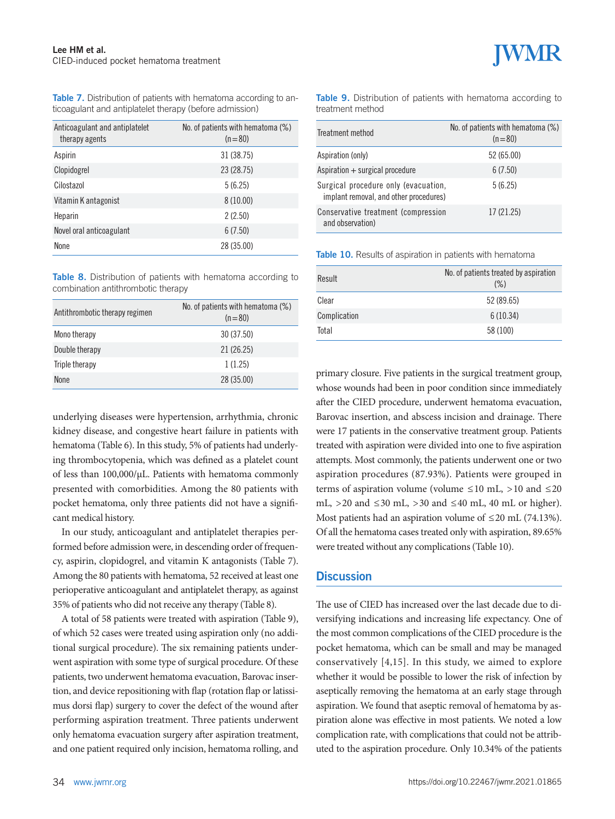Table 7. Distribution of patients with hematoma according to anticoagulant and antiplatelet therapy (before admission)

| Anticoagulant and antiplatelet<br>therapy agents | No. of patients with hematoma (%)<br>$(n=80)$ |
|--------------------------------------------------|-----------------------------------------------|
| Aspirin                                          | 31 (38.75)                                    |
| Clopidogrel                                      | 23 (28.75)                                    |
| Cilostazol                                       | 5(6.25)                                       |
| Vitamin K antagonist                             | 8(10.00)                                      |
| Heparin                                          | 2(2.50)                                       |
| Novel oral anticoagulant                         | 6(7.50)                                       |
| <b>None</b>                                      | 28 (35.00)                                    |

Table 8. Distribution of patients with hematoma according to combination antithrombotic therapy

| Antithrombotic therapy regimen | No. of patients with hematoma (%)<br>$(n=80)$ |
|--------------------------------|-----------------------------------------------|
| Mono therapy                   | 30 (37.50)                                    |
| Double therapy                 | 21 (26.25)                                    |
| Triple therapy                 | 1(1.25)                                       |
| <b>None</b>                    | 28 (35.00)                                    |

underlying diseases were hypertension, arrhythmia, chronic kidney disease, and congestive heart failure in patients with hematoma (Table 6). In this study, 5% of patients had underlying thrombocytopenia, which was defined as a platelet count of less than 100,000/µL. Patients with hematoma commonly presented with comorbidities. Among the 80 patients with pocket hematoma, only three patients did not have a significant medical history.

In our study, anticoagulant and antiplatelet therapies performed before admission were, in descending order of frequency, aspirin, clopidogrel, and vitamin K antagonists (Table 7). Among the 80 patients with hematoma, 52 received at least one perioperative anticoagulant and antiplatelet therapy, as against 35% of patients who did not receive any therapy (Table 8).

A total of 58 patients were treated with aspiration (Table 9), of which 52 cases were treated using aspiration only (no additional surgical procedure). The six remaining patients underwent aspiration with some type of surgical procedure. Of these patients, two underwent hematoma evacuation, Barovac insertion, and device repositioning with flap (rotation flap or latissimus dorsi flap) surgery to cover the defect of the wound after performing aspiration treatment. Three patients underwent only hematoma evacuation surgery after aspiration treatment, and one patient required only incision, hematoma rolling, and

Table 9. Distribution of patients with hematoma according to treatment method

| Treatment method                                                               | No. of patients with hematoma (%)<br>$(n=80)$ |
|--------------------------------------------------------------------------------|-----------------------------------------------|
| Aspiration (only)                                                              | 52 (65.00)                                    |
| Aspiration + surgical procedure                                                | 6(7.50)                                       |
| Surgical procedure only (evacuation,<br>implant removal, and other procedures) | 5(6.25)                                       |
| Conservative treatment (compression<br>and observation)                        | 17 (21.25)                                    |

Table 10. Results of aspiration in patients with hematoma

| Result       | No. of patients treated by aspiration<br>$(\%)$ |
|--------------|-------------------------------------------------|
| Clear        | 52 (89.65)                                      |
| Complication | 6(10.34)                                        |
| Total        | 58 (100)                                        |

primary closure. Five patients in the surgical treatment group, whose wounds had been in poor condition since immediately after the CIED procedure, underwent hematoma evacuation, Barovac insertion, and abscess incision and drainage. There were 17 patients in the conservative treatment group. Patients treated with aspiration were divided into one to five aspiration attempts. Most commonly, the patients underwent one or two aspiration procedures (87.93%). Patients were grouped in terms of aspiration volume (volume  $\leq 10$  mL,  $> 10$  and  $\leq 20$ mL,  $>20$  and  $\leq 30$  mL,  $>30$  and  $\leq 40$  mL, 40 mL or higher). Most patients had an aspiration volume of  $\leq$ 20 mL (74.13%). Of all the hematoma cases treated only with aspiration, 89.65% were treated without any complications (Table 10).

#### **Discussion**

The use of CIED has increased over the last decade due to diversifying indications and increasing life expectancy. One of the most common complications of the CIED procedure is the pocket hematoma, which can be small and may be managed conservatively [4,15]. In this study, we aimed to explore whether it would be possible to lower the risk of infection by aseptically removing the hematoma at an early stage through aspiration. We found that aseptic removal of hematoma by aspiration alone was effective in most patients. We noted a low complication rate, with complications that could not be attributed to the aspiration procedure. Only 10.34% of the patients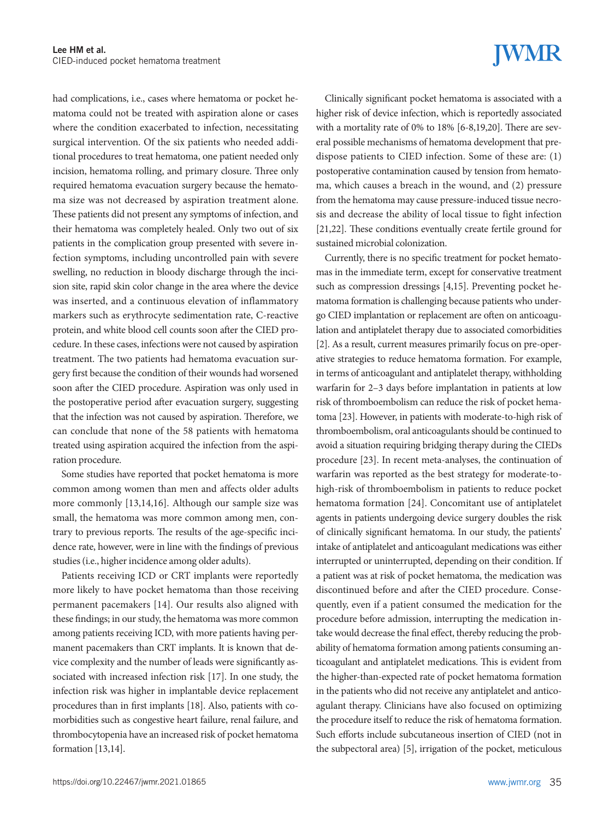had complications, i.e., cases where hematoma or pocket hematoma could not be treated with aspiration alone or cases where the condition exacerbated to infection, necessitating surgical intervention. Of the six patients who needed additional procedures to treat hematoma, one patient needed only incision, hematoma rolling, and primary closure. Three only required hematoma evacuation surgery because the hematoma size was not decreased by aspiration treatment alone. These patients did not present any symptoms of infection, and their hematoma was completely healed. Only two out of six patients in the complication group presented with severe infection symptoms, including uncontrolled pain with severe swelling, no reduction in bloody discharge through the incision site, rapid skin color change in the area where the device was inserted, and a continuous elevation of inflammatory markers such as erythrocyte sedimentation rate, C-reactive protein, and white blood cell counts soon after the CIED procedure. In these cases, infections were not caused by aspiration treatment. The two patients had hematoma evacuation surgery first because the condition of their wounds had worsened soon after the CIED procedure. Aspiration was only used in the postoperative period after evacuation surgery, suggesting that the infection was not caused by aspiration. Therefore, we can conclude that none of the 58 patients with hematoma treated using aspiration acquired the infection from the aspiration procedure.

Some studies have reported that pocket hematoma is more common among women than men and affects older adults more commonly [13,14,16]. Although our sample size was small, the hematoma was more common among men, contrary to previous reports. The results of the age-specific incidence rate, however, were in line with the findings of previous studies (i.e., higher incidence among older adults).

Patients receiving ICD or CRT implants were reportedly more likely to have pocket hematoma than those receiving permanent pacemakers [14]. Our results also aligned with these findings; in our study, the hematoma was more common among patients receiving ICD, with more patients having permanent pacemakers than CRT implants. It is known that device complexity and the number of leads were significantly associated with increased infection risk [17]. In one study, the infection risk was higher in implantable device replacement procedures than in first implants [18]. Also, patients with comorbidities such as congestive heart failure, renal failure, and thrombocytopenia have an increased risk of pocket hematoma formation [13,14].

# **IWMR**

Clinically significant pocket hematoma is associated with a higher risk of device infection, which is reportedly associated with a mortality rate of 0% to 18% [6-8,19,20]. There are several possible mechanisms of hematoma development that predispose patients to CIED infection. Some of these are: (1) postoperative contamination caused by tension from hematoma, which causes a breach in the wound, and (2) pressure from the hematoma may cause pressure-induced tissue necrosis and decrease the ability of local tissue to fight infection [21,22]. These conditions eventually create fertile ground for sustained microbial colonization.

Currently, there is no specific treatment for pocket hematomas in the immediate term, except for conservative treatment such as compression dressings [4,15]. Preventing pocket hematoma formation is challenging because patients who undergo CIED implantation or replacement are often on anticoagulation and antiplatelet therapy due to associated comorbidities [2]. As a result, current measures primarily focus on pre-operative strategies to reduce hematoma formation. For example, in terms of anticoagulant and antiplatelet therapy, withholding warfarin for 2–3 days before implantation in patients at low risk of thromboembolism can reduce the risk of pocket hematoma [23]. However, in patients with moderate-to-high risk of thromboembolism, oral anticoagulants should be continued to avoid a situation requiring bridging therapy during the CIEDs procedure [23]. In recent meta-analyses, the continuation of warfarin was reported as the best strategy for moderate-tohigh-risk of thromboembolism in patients to reduce pocket hematoma formation [24]. Concomitant use of antiplatelet agents in patients undergoing device surgery doubles the risk of clinically significant hematoma. In our study, the patients' intake of antiplatelet and anticoagulant medications was either interrupted or uninterrupted, depending on their condition. If a patient was at risk of pocket hematoma, the medication was discontinued before and after the CIED procedure. Consequently, even if a patient consumed the medication for the procedure before admission, interrupting the medication intake would decrease the final effect, thereby reducing the probability of hematoma formation among patients consuming anticoagulant and antiplatelet medications. This is evident from the higher-than-expected rate of pocket hematoma formation in the patients who did not receive any antiplatelet and anticoagulant therapy. Clinicians have also focused on optimizing the procedure itself to reduce the risk of hematoma formation. Such efforts include subcutaneous insertion of CIED (not in the subpectoral area) [5], irrigation of the pocket, meticulous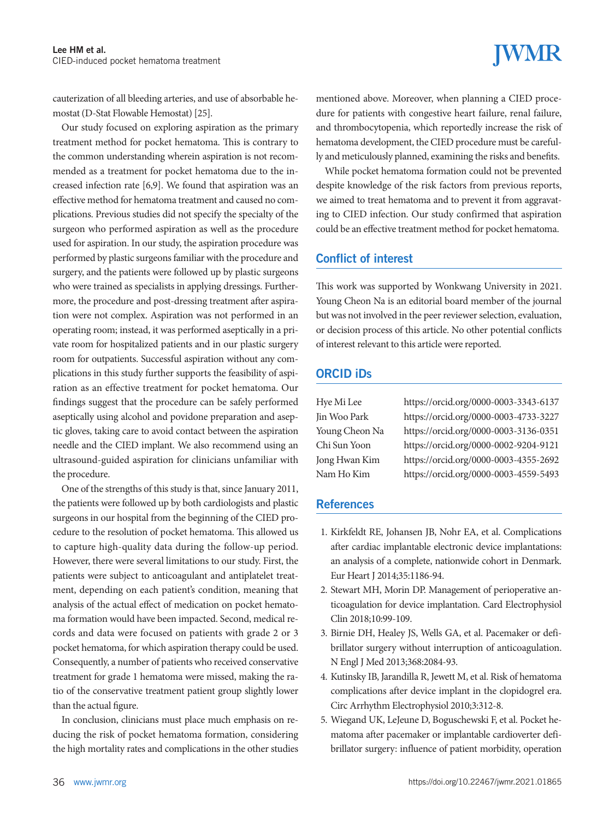# **IWMR**

cauterization of all bleeding arteries, and use of absorbable hemostat (D-Stat Flowable Hemostat) [25].

Our study focused on exploring aspiration as the primary treatment method for pocket hematoma. This is contrary to the common understanding wherein aspiration is not recommended as a treatment for pocket hematoma due to the increased infection rate [6,9]. We found that aspiration was an effective method for hematoma treatment and caused no complications. Previous studies did not specify the specialty of the surgeon who performed aspiration as well as the procedure used for aspiration. In our study, the aspiration procedure was performed by plastic surgeons familiar with the procedure and surgery, and the patients were followed up by plastic surgeons who were trained as specialists in applying dressings. Furthermore, the procedure and post-dressing treatment after aspiration were not complex. Aspiration was not performed in an operating room; instead, it was performed aseptically in a private room for hospitalized patients and in our plastic surgery room for outpatients. Successful aspiration without any complications in this study further supports the feasibility of aspiration as an effective treatment for pocket hematoma. Our findings suggest that the procedure can be safely performed aseptically using alcohol and povidone preparation and aseptic gloves, taking care to avoid contact between the aspiration needle and the CIED implant. We also recommend using an ultrasound-guided aspiration for clinicians unfamiliar with the procedure.

One of the strengths of this study is that, since January 2011, the patients were followed up by both cardiologists and plastic surgeons in our hospital from the beginning of the CIED procedure to the resolution of pocket hematoma. This allowed us to capture high-quality data during the follow-up period. However, there were several limitations to our study. First, the patients were subject to anticoagulant and antiplatelet treatment, depending on each patient's condition, meaning that analysis of the actual effect of medication on pocket hematoma formation would have been impacted. Second, medical records and data were focused on patients with grade 2 or 3 pocket hematoma, for which aspiration therapy could be used. Consequently, a number of patients who received conservative treatment for grade 1 hematoma were missed, making the ratio of the conservative treatment patient group slightly lower than the actual figure.

In conclusion, clinicians must place much emphasis on reducing the risk of pocket hematoma formation, considering the high mortality rates and complications in the other studies mentioned above. Moreover, when planning a CIED procedure for patients with congestive heart failure, renal failure, and thrombocytopenia, which reportedly increase the risk of hematoma development, the CIED procedure must be carefully and meticulously planned, examining the risks and benefits.

While pocket hematoma formation could not be prevented despite knowledge of the risk factors from previous reports, we aimed to treat hematoma and to prevent it from aggravating to CIED infection. Our study confirmed that aspiration could be an effective treatment method for pocket hematoma.

### Conflict of interest

This work was supported by Wonkwang University in 2021. Young Cheon Na is an editorial board member of the journal but was not involved in the peer reviewer selection, evaluation, or decision process of this article. No other potential conflicts of interest relevant to this article were reported.

### ORCID iDs

| Hye Mi Lee     |
|----------------|
| in Woo Park    |
| Young Cheon Na |
| Chi Sun Yoon   |
| ong Hwan Kim   |
| Vam Ho Kim     |

Hye Mi Lee https://orcid.org/0000-0003-3343-6137 Jin Woo Park https://orcid.org/0000-0003-4733-3227 Young Cheon Na https://orcid.org/0000-0003-3136-0351 Chi Sun Yoon https://orcid.org/0000-0002-9204-9121 Jong Hwan Kim https://orcid.org/0000-0003-4355-2692 Nam Ho Kim https://orcid.org/0000-0003-4559-5493

### **References**

- 1. Kirkfeldt RE, Johansen JB, Nohr EA, et al. Complications after cardiac implantable electronic device implantations: an analysis of a complete, nationwide cohort in Denmark. Eur Heart J 2014;35:1186-94.
- 2. Stewart MH, Morin DP. Management of perioperative anticoagulation for device implantation. Card Electrophysiol Clin 2018;10:99-109.
- 3. Birnie DH, Healey JS, Wells GA, et al. Pacemaker or defibrillator surgery without interruption of anticoagulation. N Engl J Med 2013;368:2084-93.
- 4. Kutinsky IB, Jarandilla R, Jewett M, et al. Risk of hematoma complications after device implant in the clopidogrel era. Circ Arrhythm Electrophysiol 2010;3:312-8.
- 5. Wiegand UK, LeJeune D, Boguschewski F, et al. Pocket hematoma after pacemaker or implantable cardioverter defibrillator surgery: influence of patient morbidity, operation